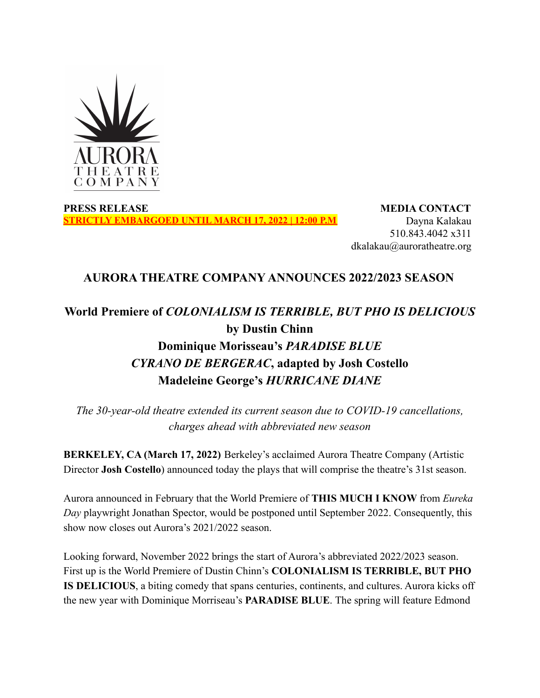

**PRESS RELEASE STRICTLY EMBARGOED UNTIL MARCH 17, 2022 | 12:00 P.M**

**MEDIA CONTACT** Dayna Kalakau 510.843.4042 x311 dkalakau@auroratheatre.org

## **AURORA THEATRE COMPANY ANNOUNCES 2022/2023 SEASON**

# **World Premiere of** *COLONIALISM IS TERRIBLE, BUT PHO IS DELICIOUS* **by Dustin Chinn Dominique Morisseau's** *PARADISE BLUE CYRANO DE BERGERAC***, adapted by Josh Costello Madeleine George's** *HURRICANE DIANE*

*The 30-year-old theatre extended its current season due to COVID-19 cancellations, charges ahead with abbreviated new season*

**BERKELEY, CA (March 17, 2022)** Berkeley's acclaimed Aurora Theatre Company (Artistic Director **Josh Costello**) announced today the plays that will comprise the theatre's 31st season.

Aurora announced in February that the World Premiere of **THIS MUCH I KNOW** from *Eureka Day* playwright Jonathan Spector, would be postponed until September 2022. Consequently, this show now closes out Aurora's 2021/2022 season.

Looking forward, November 2022 brings the start of Aurora's abbreviated 2022/2023 season. First up is the World Premiere of Dustin Chinn's **COLONIALISM IS TERRIBLE, BUT PHO IS DELICIOUS**, a biting comedy that spans centuries, continents, and cultures. Aurora kicks off the new year with Dominique Morriseau's **PARADISE BLUE**. The spring will feature Edmond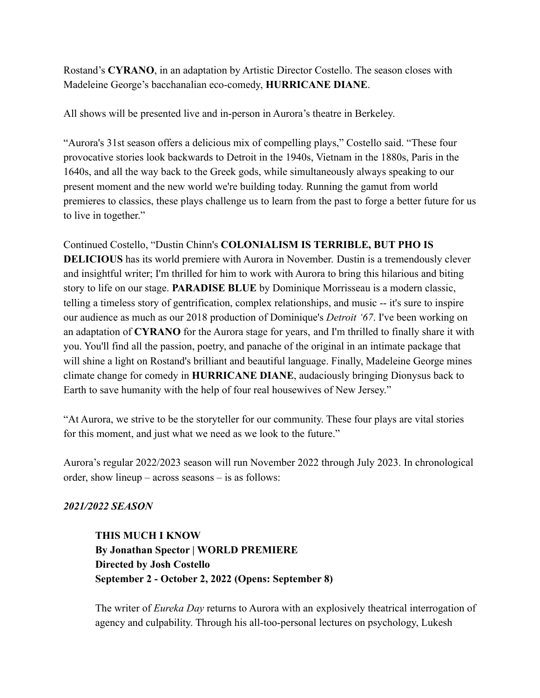Rostand's **CYRANO**, in an adaptation by Artistic Director Costello. The season closes with Madeleine George's bacchanalian eco-comedy, **HURRICANE DIANE**.

All shows will be presented live and in-person in Aurora's theatre in Berkeley.

"Aurora's 31st season offers a delicious mix of compelling plays," Costello said. "These four provocative stories look backwards to Detroit in the 1940s, Vietnam in the 1880s, Paris in the 1640s, and all the way back to the Greek gods, while simultaneously always speaking to our present moment and the new world we're building today. Running the gamut from world premieres to classics, these plays challenge us to learn from the past to forge a better future for us to live in together."

Continued Costello, "Dustin Chinn's **COLONIALISM IS TERRIBLE, BUT PHO IS DELICIOUS** has its world premiere with Aurora in November. Dustin is a tremendously clever and insightful writer; I'm thrilled for him to work with Aurora to bring this hilarious and biting story to life on our stage. **PARADISE BLUE** by Dominique Morrisseau is a modern classic, telling a timeless story of gentrification, complex relationships, and music -- it's sure to inspire our audience as much as our 2018 production of Dominique's *Detroit '67*. I've been working on an adaptation of **CYRANO** for the Aurora stage for years, and I'm thrilled to finally share it with you. You'll find all the passion, poetry, and panache of the original in an intimate package that will shine a light on Rostand's brilliant and beautiful language. Finally, Madeleine George mines climate change for comedy in **HURRICANE DIANE**, audaciously bringing Dionysus back to Earth to save humanity with the help of four real housewives of New Jersey."

"At Aurora, we strive to be the storyteller for our community. These four plays are vital stories for this moment, and just what we need as we look to the future."

Aurora's regular 2022/2023 season will run November 2022 through July 2023. In chronological order, show lineup – across seasons – is as follows:

## *2021/2022 SEASON*

**THIS MUCH I KNOW By Jonathan Spector | WORLD PREMIERE Directed by Josh Costello September 2 - October 2, 2022 (Opens: September 8)**

The writer of *Eureka Day* returns to Aurora with an explosively theatrical interrogation of agency and culpability. Through his all-too-personal lectures on psychology, Lukesh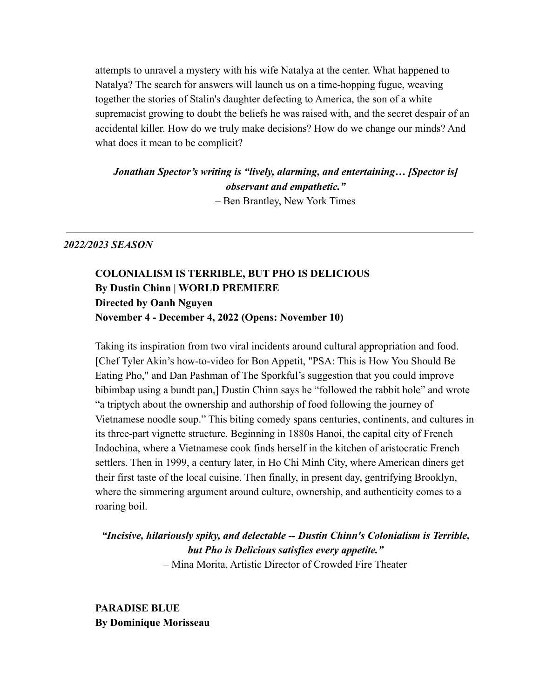attempts to unravel a mystery with his wife Natalya at the center. What happened to Natalya? The search for answers will launch us on a time-hopping fugue, weaving together the stories of Stalin's daughter defecting to America, the son of a white supremacist growing to doubt the beliefs he was raised with, and the secret despair of an accidental killer. How do we truly make decisions? How do we change our minds? And what does it mean to be complicit?

*Jonathan Spector's writing is "lively, alarming, and entertaining… [Spector is] observant and empathetic."* – Ben Brantley, New York Times

#### *2022/2023 SEASON*

**COLONIALISM IS TERRIBLE, BUT PHO IS DELICIOUS By Dustin Chinn | WORLD PREMIERE Directed by Oanh Nguyen November 4 - December 4, 2022 (Opens: November 10)**

Taking its inspiration from two viral incidents around cultural appropriation and food. [Chef Tyler Akin's how-to-video for Bon Appetit, "PSA: This is How You Should Be Eating Pho," and Dan Pashman of The Sporkful's suggestion that you could improve bibimbap using a bundt pan,] Dustin Chinn says he "followed the rabbit hole" and wrote "a triptych about the ownership and authorship of food following the journey of Vietnamese noodle soup." This biting comedy spans centuries, continents, and cultures in its three-part vignette structure. Beginning in 1880s Hanoi, the capital city of French Indochina, where a Vietnamese cook finds herself in the kitchen of aristocratic French settlers. Then in 1999, a century later, in Ho Chi Minh City, where American diners get their first taste of the local cuisine. Then finally, in present day, gentrifying Brooklyn, where the simmering argument around culture, ownership, and authenticity comes to a roaring boil.

*"Incisive, hilariously spiky, and delectable -- Dustin Chinn's Colonialism is Terrible, but Pho is Delicious satisfies every appetite."* – Mina Morita, Artistic Director of Crowded Fire Theater

**PARADISE BLUE By Dominique Morisseau**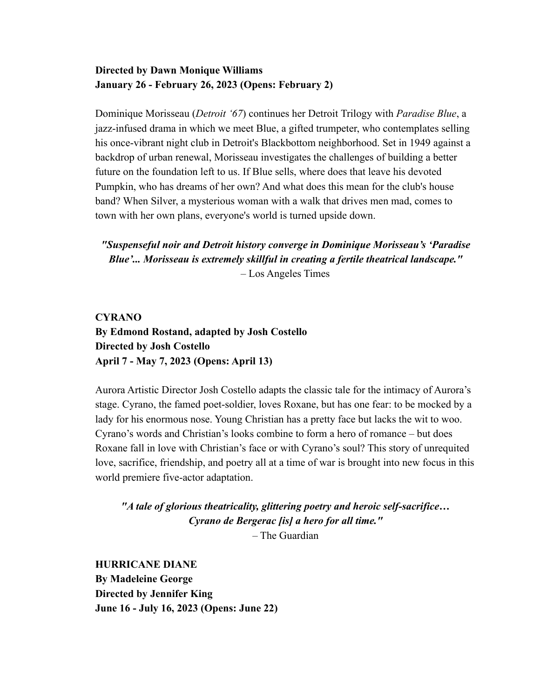### **Directed by Dawn Monique Williams January 26 - February 26, 2023 (Opens: February 2)**

Dominique Morisseau (*Detroit '67*) continues her Detroit Trilogy with *Paradise Blue*, a jazz-infused drama in which we meet Blue, a gifted trumpeter, who contemplates selling his once-vibrant night club in Detroit's Blackbottom neighborhood. Set in 1949 against a backdrop of urban renewal, Morisseau investigates the challenges of building a better future on the foundation left to us. If Blue sells, where does that leave his devoted Pumpkin, who has dreams of her own? And what does this mean for the club's house band? When Silver, a mysterious woman with a walk that drives men mad, comes to town with her own plans, everyone's world is turned upside down.

*"Suspenseful noir and Detroit history converge in Dominique Morisseau's 'Paradise Blue'... Morisseau is extremely skillful in creating a fertile theatrical landscape."* – Los Angeles Times

**CYRANO By Edmond Rostand, adapted by Josh Costello Directed by Josh Costello April 7 - May 7, 2023 (Opens: April 13)**

Aurora Artistic Director Josh Costello adapts the classic tale for the intimacy of Aurora's stage. Cyrano, the famed poet-soldier, loves Roxane, but has one fear: to be mocked by a lady for his enormous nose. Young Christian has a pretty face but lacks the wit to woo. Cyrano's words and Christian's looks combine to form a hero of romance – but does Roxane fall in love with Christian's face or with Cyrano's soul? This story of unrequited love, sacrifice, friendship, and poetry all at a time of war is brought into new focus in this world premiere five-actor adaptation.

*"A tale of glorious theatricality, glittering poetry and heroic self-sacrifice… Cyrano de Bergerac [is] a hero for all time."* – The Guardian

**HURRICANE DIANE By Madeleine George Directed by Jennifer King June 16 - July 16, 2023 (Opens: June 22)**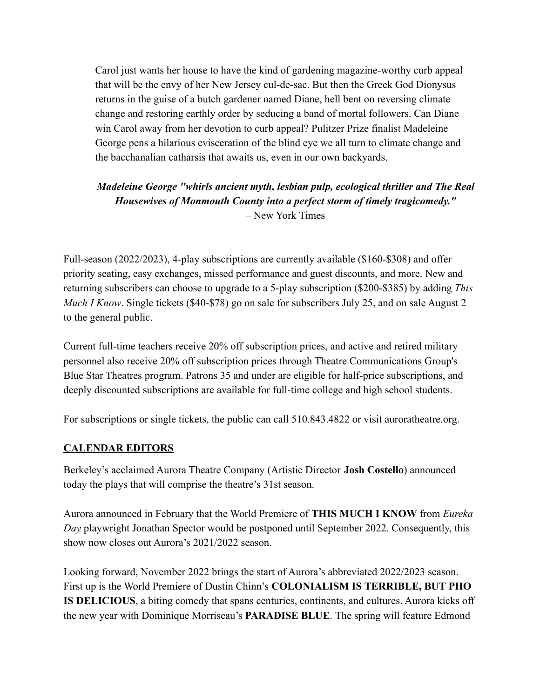Carol just wants her house to have the kind of gardening magazine-worthy curb appeal that will be the envy of her New Jersey cul-de-sac. But then the Greek God Dionysus returns in the guise of a butch gardener named Diane, hell bent on reversing climate change and restoring earthly order by seducing a band of mortal followers. Can Diane win Carol away from her devotion to curb appeal? Pulitzer Prize finalist Madeleine George pens a hilarious evisceration of the blind eye we all turn to climate change and the bacchanalian catharsis that awaits us, even in our own backyards.

## *Madeleine George "whirls ancient myth, lesbian pulp, ecological thriller and The Real Housewives of Monmouth County into a perfect storm of timely tragicomedy."* – New York Times

Full-season (2022/2023), 4-play subscriptions are currently available (\$160-\$308) and offer priority seating, easy exchanges, missed performance and guest discounts, and more. New and returning subscribers can choose to upgrade to a 5-play subscription (\$200-\$385) by adding *This Much I Know.* Single tickets (\$40-\$78) go on sale for subscribers July 25, and on sale August 2 to the general public.

Current full-time teachers receive 20% off subscription prices, and active and retired military personnel also receive 20% off subscription prices through Theatre Communications Group's Blue Star Theatres program. Patrons 35 and under are eligible for half-price subscriptions, and deeply discounted subscriptions are available for full-time college and high school students.

For subscriptions or single tickets, the public can call 510.843.4822 or visit auroratheatre.org.

## **CALENDAR EDITORS**

Berkeley's acclaimed Aurora Theatre Company (Artistic Director **Josh Costello**) announced today the plays that will comprise the theatre's 31st season.

Aurora announced in February that the World Premiere of **THIS MUCH I KNOW** from *Eureka Day* playwright Jonathan Spector would be postponed until September 2022. Consequently, this show now closes out Aurora's 2021/2022 season.

Looking forward, November 2022 brings the start of Aurora's abbreviated 2022/2023 season. First up is the World Premiere of Dustin Chinn's **COLONIALISM IS TERRIBLE, BUT PHO IS DELICIOUS**, a biting comedy that spans centuries, continents, and cultures. Aurora kicks off the new year with Dominique Morriseau's **PARADISE BLUE**. The spring will feature Edmond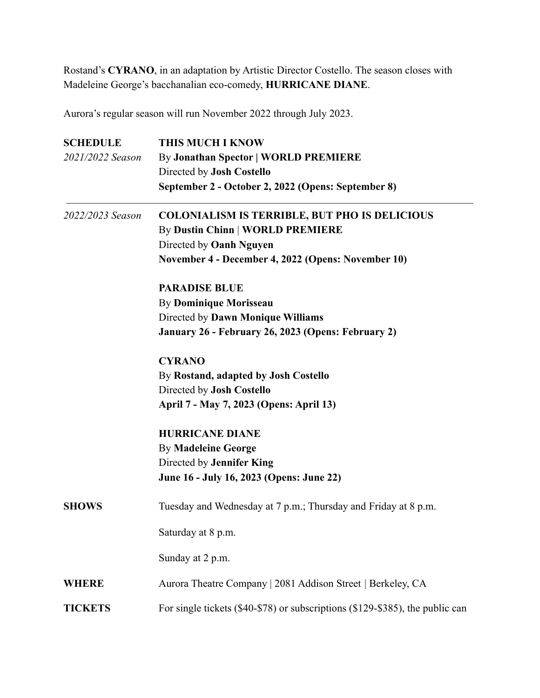Rostand's **CYRANO**, in an adaptation by Artistic Director Costello. The season closes with Madeleine George's bacchanalian eco-comedy, **HURRICANE DIANE**.

Aurora's regular season will run November 2022 through July 2023.

| <b>SCHEDULE</b>  | <b>THIS MUCH I KNOW</b>                                                       |
|------------------|-------------------------------------------------------------------------------|
| 2021/2022 Season | <b>By Jonathan Spector   WORLD PREMIERE</b>                                   |
|                  | Directed by Josh Costello                                                     |
|                  | September 2 - October 2, 2022 (Opens: September 8)                            |
| 2022/2023 Season | <b>COLONIALISM IS TERRIBLE, BUT PHO IS DELICIOUS</b>                          |
|                  | <b>By Dustin Chinn   WORLD PREMIERE</b>                                       |
|                  | Directed by Oanh Nguyen                                                       |
|                  | November 4 - December 4, 2022 (Opens: November 10)                            |
|                  | <b>PARADISE BLUE</b>                                                          |
|                  | <b>By Dominique Morisseau</b>                                                 |
|                  | Directed by Dawn Monique Williams                                             |
|                  | January 26 - February 26, 2023 (Opens: February 2)                            |
|                  | <b>CYRANO</b>                                                                 |
|                  | By Rostand, adapted by Josh Costello                                          |
|                  | Directed by Josh Costello                                                     |
|                  | April 7 - May 7, 2023 (Opens: April 13)                                       |
|                  | <b>HURRICANE DIANE</b>                                                        |
|                  | <b>By Madeleine George</b>                                                    |
|                  | Directed by Jennifer King                                                     |
|                  | June 16 - July 16, 2023 (Opens: June 22)                                      |
| <b>SHOWS</b>     | Tuesday and Wednesday at 7 p.m.; Thursday and Friday at 8 p.m.                |
|                  | Saturday at 8 p.m.                                                            |
|                  | Sunday at 2 p.m.                                                              |
| <b>WHERE</b>     | Aurora Theatre Company   2081 Addison Street   Berkeley, CA                   |
| <b>TICKETS</b>   | For single tickets (\$40-\$78) or subscriptions (\$129-\$385), the public can |